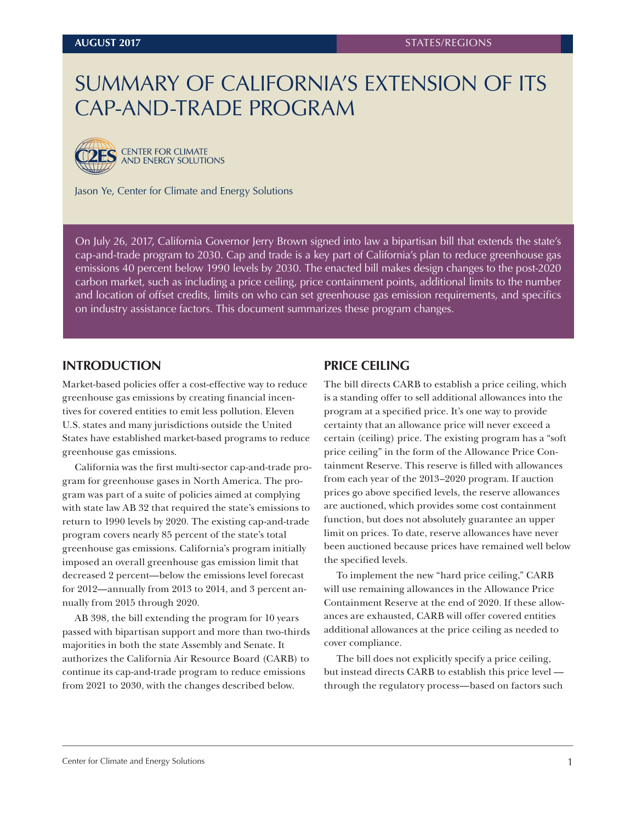# SUMMARY OF CALIFORNIA'S EXTENSION OF ITS CAP-AND-TRADE PROGRAM



**2ES** CENTER FOR CLIMATE AND ENERGY SOLUTIONS

Jason Ye, Center for Climate and Energy Solutions

On July 26, 2017, California Governor Jerry Brown signed into law a bipartisan bill that extends the state's cap-and-trade program to 2030. Cap and trade is a key part of California's plan to reduce greenhouse gas emissions 40 percent below 1990 levels by 2030. The enacted bill makes design changes to the post-2020 carbon market, such as including a price ceiling, price containment points, additional limits to the number and location of offset credits, limits on who can set greenhouse gas emission requirements, and specifics on industry assistance factors. This document summarizes these program changes.

#### **INTRODUCTION**

Market-based policies offer a cost-effective way to reduce greenhouse gas emissions by creating financial incentives for covered entities to emit less pollution. Eleven U.S. states and many jurisdictions outside the United States have established market-based programs to reduce greenhouse gas emissions.

California was the first multi-sector cap-and-trade program for greenhouse gases in North America. The program was part of a suite of policies aimed at complying with state law AB 32 that required the state's emissions to return to 1990 levels by 2020. The existing cap-and-trade program covers nearly 85 percent of the state's total greenhouse gas emissions. California's program initially imposed an overall greenhouse gas emission limit that decreased 2 percent—below the emissions level forecast for 2012—annually from 2013 to 2014, and 3 percent annually from 2015 through 2020.

AB 398, the bill extending the program for 10 years passed with bipartisan support and more than two-thirds majorities in both the state Assembly and Senate. It authorizes the California Air Resource Board (CARB) to continue its cap-and-trade program to reduce emissions from 2021 to 2030, with the changes described below.

#### **PRICE CEILING**

The bill directs CARB to establish a price ceiling, which is a standing offer to sell additional allowances into the program at a specified price. It's one way to provide certainty that an allowance price will never exceed a certain (ceiling) price. The existing program has a "soft price ceiling" in the form of the Allowance Price Containment Reserve. This reserve is filled with allowances from each year of the 2013–2020 program. If auction prices go above specified levels, the reserve allowances are auctioned, which provides some cost containment function, but does not absolutely guarantee an upper limit on prices. To date, reserve allowances have never been auctioned because prices have remained well below the specified levels.

To implement the new "hard price ceiling," CARB will use remaining allowances in the Allowance Price Containment Reserve at the end of 2020. If these allowances are exhausted, CARB will offer covered entities additional allowances at the price ceiling as needed to cover compliance.

The bill does not explicitly specify a price ceiling, but instead directs CARB to establish this price level through the regulatory process—based on factors such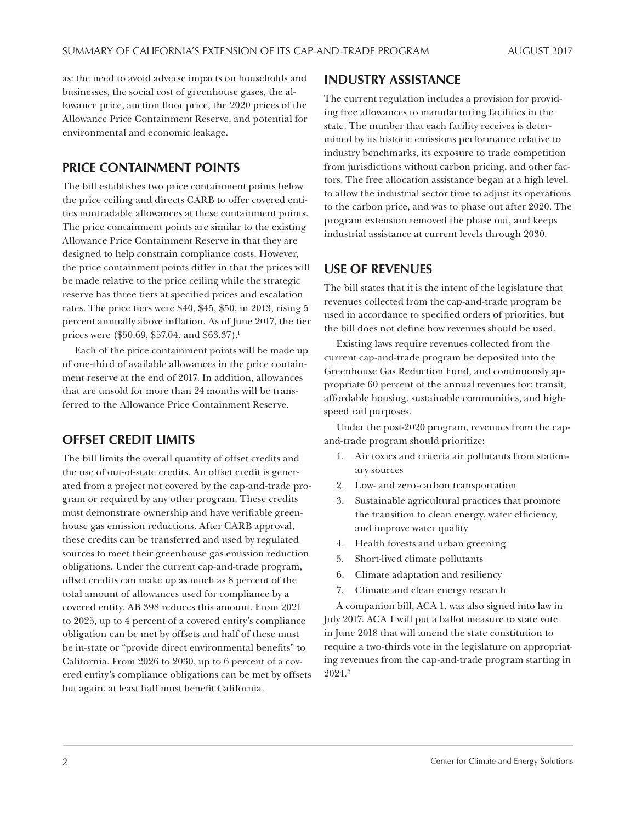as: the need to avoid adverse impacts on households and businesses, the social cost of greenhouse gases, the allowance price, auction floor price, the 2020 prices of the Allowance Price Containment Reserve, and potential for environmental and economic leakage.

### **PRICE CONTAINMENT POINTS**

The bill establishes two price containment points below the price ceiling and directs CARB to offer covered entities nontradable allowances at these containment points. The price containment points are similar to the existing Allowance Price Containment Reserve in that they are designed to help constrain compliance costs. However, the price containment points differ in that the prices will be made relative to the price ceiling while the strategic reserve has three tiers at specified prices and escalation rates. The price tiers were \$40, \$45, \$50, in 2013, rising 5 percent annually above inflation. As of June 2017, the tier prices were (\$50.69, \$57.04, and \$63.37).<sup>1</sup>

Each of the price containment points will be made up of one-third of available allowances in the price containment reserve at the end of 2017. In addition, allowances that are unsold for more than 24 months will be transferred to the Allowance Price Containment Reserve.

### **OFFSET CREDIT LIMITS**

The bill limits the overall quantity of offset credits and the use of out-of-state credits. An offset credit is generated from a project not covered by the cap-and-trade program or required by any other program. These credits must demonstrate ownership and have verifiable greenhouse gas emission reductions. After CARB approval, these credits can be transferred and used by regulated sources to meet their greenhouse gas emission reduction obligations. Under the current cap-and-trade program, offset credits can make up as much as 8 percent of the total amount of allowances used for compliance by a covered entity. AB 398 reduces this amount. From 2021 to 2025, up to 4 percent of a covered entity's compliance obligation can be met by offsets and half of these must be in-state or "provide direct environmental benefits" to California. From 2026 to 2030, up to 6 percent of a covered entity's compliance obligations can be met by offsets but again, at least half must benefit California.

#### **INDUSTRY ASSISTANCE**

The current regulation includes a provision for providing free allowances to manufacturing facilities in the state. The number that each facility receives is determined by its historic emissions performance relative to industry benchmarks, its exposure to trade competition from jurisdictions without carbon pricing, and other factors. The free allocation assistance began at a high level, to allow the industrial sector time to adjust its operations to the carbon price, and was to phase out after 2020. The program extension removed the phase out, and keeps industrial assistance at current levels through 2030.

### **USE OF REVENUES**

The bill states that it is the intent of the legislature that revenues collected from the cap-and-trade program be used in accordance to specified orders of priorities, but the bill does not define how revenues should be used.

Existing laws require revenues collected from the current cap-and-trade program be deposited into the Greenhouse Gas Reduction Fund, and continuously appropriate 60 percent of the annual revenues for: transit, affordable housing, sustainable communities, and highspeed rail purposes.

Under the post-2020 program, revenues from the capand-trade program should prioritize:

- 1. Air toxics and criteria air pollutants from stationary sources
- 2. Low- and zero-carbon transportation
- 3. Sustainable agricultural practices that promote the transition to clean energy, water efficiency, and improve water quality
- 4. Health forests and urban greening
- 5. Short-lived climate pollutants
- 6. Climate adaptation and resiliency
- 7. Climate and clean energy research

A companion bill, ACA 1, was also signed into law in July 2017. ACA 1 will put a ballot measure to state vote in June 2018 that will amend the state constitution to require a two-thirds vote in the legislature on appropriating revenues from the cap-and-trade program starting in 2024.2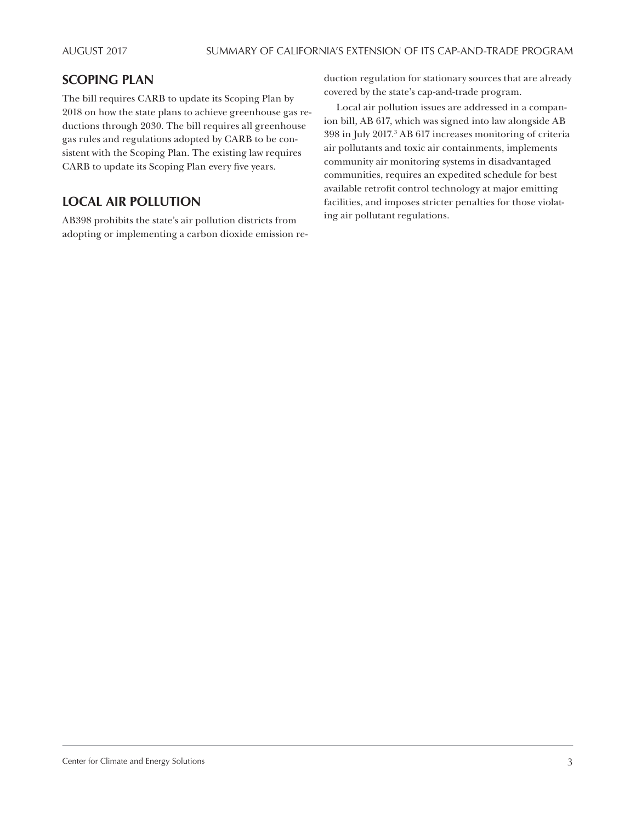## **SCOPING PLAN**

The bill requires CARB to update its Scoping Plan by 2018 on how the state plans to achieve greenhouse gas reductions through 2030. The bill requires all greenhouse gas rules and regulations adopted by CARB to be consistent with the Scoping Plan. The existing law requires CARB to update its Scoping Plan every five years.

# **LOCAL AIR POLLUTION**

AB398 prohibits the state's air pollution districts from adopting or implementing a carbon dioxide emission re-

duction regulation for stationary sources that are already covered by the state's cap-and-trade program.

Local air pollution issues are addressed in a companion bill, AB 617, which was signed into law alongside AB 398 in July 2017.3 AB 617 increases monitoring of criteria air pollutants and toxic air containments, implements community air monitoring systems in disadvantaged communities, requires an expedited schedule for best available retrofit control technology at major emitting facilities, and imposes stricter penalties for those violating air pollutant regulations.